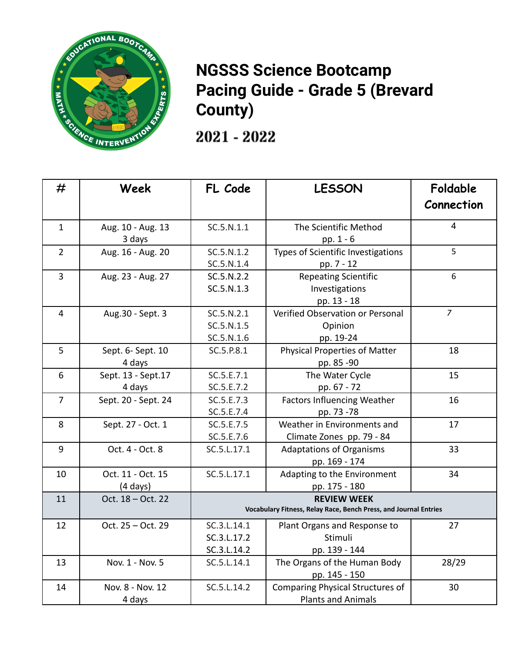

## **NGSSS Science Bootcamp Pacing Guide - Grade 5 (Brevard County)**

2021 - 2022

| #              | Week                                    | FL Code                                                                                | <b>LESSON</b>                                                 | Foldable<br>Connection |
|----------------|-----------------------------------------|----------------------------------------------------------------------------------------|---------------------------------------------------------------|------------------------|
| $\mathbf{1}$   | Aug. 10 - Aug. 13<br>3 days             | SC.5.N.1.1                                                                             | The Scientific Method<br>pp. 1 - 6                            | $\overline{4}$         |
| $\overline{2}$ | Aug. 16 - Aug. 20                       | SC.5.N.1.2<br>SC.5.N.1.4                                                               | Types of Scientific Investigations<br>pp. 7 - 12              | 5                      |
| $\overline{3}$ | Aug. 23 - Aug. 27                       | SC.5.N.2.2<br>SC.5.N.1.3                                                               | <b>Repeating Scientific</b><br>Investigations<br>pp. 13 - 18  | 6                      |
| $\overline{4}$ | Aug.30 - Sept. 3                        | SC.5.N.2.1<br>SC.5.N.1.5<br>SC.5.N.1.6                                                 | Verified Observation or Personal<br>Opinion<br>pp. 19-24      | $\overline{7}$         |
| 5              | Sept. 6- Sept. 10<br>4 days             | SC.5.P.8.1                                                                             | Physical Properties of Matter<br>pp. 85 -90                   | 18                     |
| 6              | Sept. 13 - Sept. 17<br>4 days           | SC.5.E.7.1<br>SC.5.E.7.2                                                               | The Water Cycle<br>pp. 67 - 72                                | 15                     |
| $\overline{7}$ | Sept. 20 - Sept. 24                     | SC.5.E.7.3<br>SC.5.E.7.4                                                               | <b>Factors Influencing Weather</b><br>pp. 73 -78              | 16                     |
| 8              | Sept. 27 - Oct. 1                       | SC.5.E.7.5<br>SC.5.E.7.6                                                               | Weather in Environments and<br>Climate Zones pp. 79 - 84      | 17                     |
| 9              | Oct. 4 - Oct. 8                         | SC.5.L.17.1                                                                            | <b>Adaptations of Organisms</b><br>pp. 169 - 174              | 33                     |
| 10             | Oct. 11 - Oct. 15<br>$(4 \text{ days})$ | SC.5.L.17.1                                                                            | Adapting to the Environment<br>pp. 175 - 180                  | 34                     |
| 11             | Oct. 18 - Oct. 22                       | <b>REVIEW WEEK</b><br>Vocabulary Fitness, Relay Race, Bench Press, and Journal Entries |                                                               |                        |
| 12             | Oct. 25 - Oct. 29                       | SC.3.L.14.1<br>SC.3.L.17.2<br>SC.3.L.14.2                                              | Plant Organs and Response to<br>Stimuli<br>pp. 139 - 144      | 27                     |
| 13             | Nov. 1 - Nov. 5                         | SC.5.L.14.1                                                                            | The Organs of the Human Body<br>pp. 145 - 150                 | 28/29                  |
| 14             | Nov. 8 - Nov. 12<br>4 days              | SC.5.L.14.2                                                                            | Comparing Physical Structures of<br><b>Plants and Animals</b> | 30                     |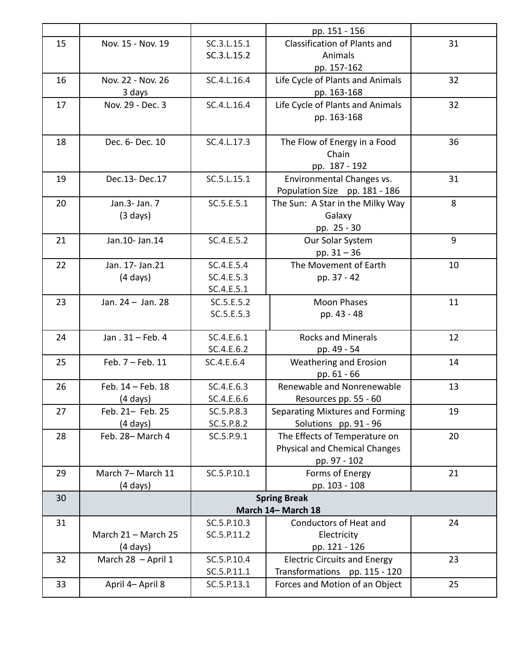|    |                     |             | pp. 151 - 156                        |    |
|----|---------------------|-------------|--------------------------------------|----|
| 15 | Nov. 15 - Nov. 19   | SC.3.L.15.1 | Classification of Plants and         | 31 |
|    |                     | SC.3.L.15.2 | Animals                              |    |
|    |                     |             | pp. 157-162                          |    |
| 16 | Nov. 22 - Nov. 26   | SC.4.L.16.4 | Life Cycle of Plants and Animals     | 32 |
|    | 3 days              |             | pp. 163-168                          |    |
| 17 | Nov. 29 - Dec. 3    | SC.4.L.16.4 | Life Cycle of Plants and Animals     | 32 |
|    |                     |             | pp. 163-168                          |    |
|    |                     |             |                                      |    |
| 18 | Dec. 6- Dec. 10     | SC.4.L.17.3 | The Flow of Energy in a Food         | 36 |
|    |                     |             | Chain                                |    |
|    |                     |             | pp. 187 - 192                        |    |
| 19 | Dec.13-Dec.17       | SC.5.L.15.1 | Environmental Changes vs.            | 31 |
|    |                     |             | Population Size pp. 181 - 186        |    |
| 20 | Jan.3- Jan. 7       | SC.5.E.5.1  | The Sun: A Star in the Milky Way     | 8  |
|    | $(3 \text{ days})$  |             | Galaxy                               |    |
|    |                     |             | pp. 25 - 30                          |    |
| 21 | Jan.10- Jan.14      | SC.4.E.5.2  | Our Solar System                     | 9  |
|    |                     |             | pp. $31 - 36$                        |    |
| 22 | Jan. 17- Jan. 21    | SC.4.E.5.4  | The Movement of Earth                | 10 |
|    | $(4 \text{ days})$  | SC.4.E.5.3  | pp. 37 - 42                          |    |
|    |                     | SC.4.E.5.1  |                                      |    |
| 23 | Jan. 24 - Jan. 28   | SC.5.E.5.2  | <b>Moon Phases</b>                   | 11 |
|    |                     | SC.5.E.5.3  | pp. 43 - 48                          |    |
|    |                     |             |                                      |    |
| 24 | Jan . 31 - Feb. 4   | SC.4.E.6.1  | <b>Rocks and Minerals</b>            | 12 |
|    |                     | SC.4.E.6.2  | pp. 49 - 54                          |    |
| 25 | Feb. 7 - Feb. 11    | SC.4.E.6.4  | Weathering and Erosion               | 14 |
|    |                     |             | pp. 61 - 66                          |    |
| 26 | Feb. 14 - Feb. 18   | SC.4.E.6.3  | Renewable and Nonrenewable           | 13 |
|    | $(4 \text{ days})$  | SC.4.E.6.6  | Resources pp. 55 - 60                |    |
| 27 | Feb. 21- Feb. 25    | SC.5.P.8.3  | Separating Mixtures and Forming      | 19 |
|    | $(4 \text{ days})$  | SC.5.P.8.2  | Solutions pp. 91 - 96                |    |
| 28 | Feb. 28-March 4     | SC.5.P.9.1  | The Effects of Temperature on        | 20 |
|    |                     |             | <b>Physical and Chemical Changes</b> |    |
|    |                     |             | pp. 97 - 102                         |    |
| 29 | March 7- March 11   | SC.5.P.10.1 | Forms of Energy                      | 21 |
|    | $(4 \text{ days})$  |             | pp. 103 - 108                        |    |
| 30 |                     |             | <b>Spring Break</b>                  |    |
|    |                     |             | March 14- March 18                   |    |
| 31 |                     | SC.5.P.10.3 | Conductors of Heat and               | 24 |
|    | March 21 - March 25 | SC.5.P.11.2 | Electricity                          |    |
|    | $(4 \text{ days})$  |             | pp. 121 - 126                        |    |
| 32 | March 28 - April 1  | SC.5.P.10.4 | <b>Electric Circuits and Energy</b>  | 23 |
|    |                     | SC.5.P.11.1 | Transformations pp. 115 - 120        |    |
| 33 | April 4- April 8    | SC.5.P.13.1 | Forces and Motion of an Object       | 25 |